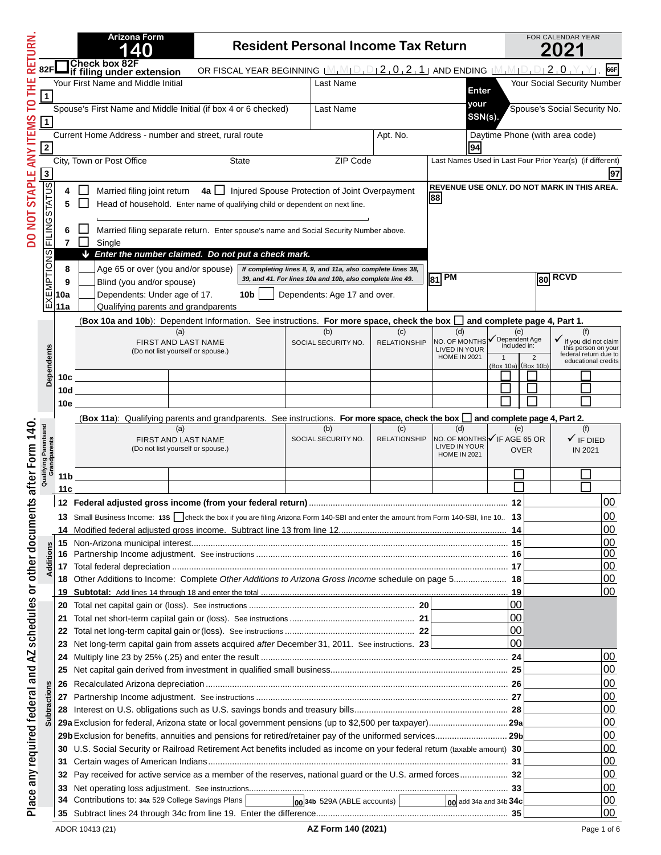| RETURN                                                      |                      |                     | <b>Arizona Form</b>                                                                                                                    | <b>Resident Personal Income Tax Return</b>                                                                                          |                                                            |                            |                                               |                                   | FOR CALENDAR YEAR<br>2021                                              |  |
|-------------------------------------------------------------|----------------------|---------------------|----------------------------------------------------------------------------------------------------------------------------------------|-------------------------------------------------------------------------------------------------------------------------------------|------------------------------------------------------------|----------------------------|-----------------------------------------------|-----------------------------------|------------------------------------------------------------------------|--|
|                                                             | 82F                  |                     | Check box 82F<br>if filing under extension                                                                                             | OR FISCAL YEAR BEGINNING $[M_1M_1D_1D_12_10_12_11]$ and ending $[M_1M_1D_1D_12_10_1Y_1]$                                            |                                                            |                            |                                               |                                   | 66F                                                                    |  |
|                                                             |                      |                     | Your First Name and Middle Initial                                                                                                     |                                                                                                                                     | Last Name                                                  |                            |                                               |                                   | Your Social Security Number                                            |  |
| Ë                                                           | $\mathbf{1}$         |                     |                                                                                                                                        |                                                                                                                                     |                                                            |                            | Enter                                         |                                   |                                                                        |  |
| P<br><b>ANY ITEMS</b>                                       | $\mathbf{1}$         |                     | Spouse's First Name and Middle Initial (if box 4 or 6 checked)                                                                         |                                                                                                                                     | Last Name                                                  |                            | your<br>SSN(s)                                |                                   | Spouse's Social Security No.                                           |  |
|                                                             | $\overline{2}$       |                     | Current Home Address - number and street, rural route<br>Apt. No.                                                                      |                                                                                                                                     |                                                            |                            |                                               |                                   | Daytime Phone (with area code)                                         |  |
|                                                             |                      |                     | City, Town or Post Office                                                                                                              | State                                                                                                                               | ZIP Code                                                   |                            |                                               |                                   | Last Names Used in Last Four Prior Year(s) (if different)              |  |
|                                                             | $\mathbf 3$          |                     |                                                                                                                                        |                                                                                                                                     |                                                            |                            |                                               |                                   | 97                                                                     |  |
| <b>DO NOT STAPLE</b>                                        | <b>FILING STATUS</b> | 4<br>5              | Married filing joint return                                                                                                            | 4a   Injured Spouse Protection of Joint Overpayment<br>Head of household. Enter name of qualifying child or dependent on next line. |                                                            |                            | 88                                            |                                   | REVENUE USE ONLY. DO NOT MARK IN THIS AREA.                            |  |
|                                                             |                      | 6<br>$\overline{7}$ | Married filing separate return. Enter spouse's name and Social Security Number above.<br>Single                                        |                                                                                                                                     |                                                            |                            |                                               |                                   |                                                                        |  |
|                                                             | <b>SNOI</b>          |                     | Enter the number claimed. Do not put a check mark.<br>J.                                                                               |                                                                                                                                     |                                                            |                            |                                               |                                   |                                                                        |  |
|                                                             |                      | 8                   | Age 65 or over (you and/or spouse)                                                                                                     |                                                                                                                                     | If completing lines 8, 9, and 11a, also complete lines 38, |                            |                                               |                                   |                                                                        |  |
|                                                             |                      | 9                   | Blind (you and/or spouse)                                                                                                              |                                                                                                                                     | 39, and 41. For lines 10a and 10b, also complete line 49.  |                            | $\overline{81}$ PM                            |                                   | $\overline{\phantom{a}}$ 80 RCVD                                       |  |
|                                                             | EXEMPT               | 10a                 | Dependents: Under age of 17.                                                                                                           | 10b                                                                                                                                 | Dependents: Age 17 and over.                               |                            |                                               |                                   |                                                                        |  |
|                                                             |                      | 11a                 | Qualifying parents and grandparents                                                                                                    |                                                                                                                                     |                                                            |                            |                                               |                                   |                                                                        |  |
|                                                             |                      |                     | (Box 10a and 10b): Dependent Information. See instructions. For more space, check the box $\Box$ and complete page 4, Part 1.          |                                                                                                                                     |                                                            |                            |                                               |                                   |                                                                        |  |
|                                                             |                      |                     | (a)                                                                                                                                    |                                                                                                                                     | (b)                                                        | (c)<br><b>RELATIONSHIP</b> | (d)<br>NO. OF MONTHS                          | (e)<br>$\checkmark$ Dependent Age | (f)                                                                    |  |
|                                                             |                      |                     | FIRST AND LAST NAME<br>(Do not list yourself or spouse.)                                                                               |                                                                                                                                     | SOCIAL SECURITY NO.                                        |                            | <b>LIVED IN YOUR</b>                          | included in:                      | v if you did not claim<br>this person on your<br>federal return due to |  |
|                                                             | Dependents           |                     |                                                                                                                                        |                                                                                                                                     |                                                            |                            | <b>HOME IN 2021</b>                           | 2<br>(Box 10a) (Box 10b)          | educational credits                                                    |  |
|                                                             |                      | 10c                 |                                                                                                                                        | the control of the control of the control of                                                                                        |                                                            |                            |                                               |                                   |                                                                        |  |
|                                                             |                      | 10d                 |                                                                                                                                        |                                                                                                                                     |                                                            |                            |                                               |                                   |                                                                        |  |
|                                                             |                      | 10e                 |                                                                                                                                        |                                                                                                                                     |                                                            |                            |                                               |                                   |                                                                        |  |
|                                                             |                      |                     | (Box 11a): Qualifying parents and grandparents. See instructions. For more space, check the box I and complete page 4, Part 2.         |                                                                                                                                     |                                                            |                            |                                               |                                   |                                                                        |  |
| 140                                                         | tsand                |                     | (a)                                                                                                                                    |                                                                                                                                     | (b)                                                        | (c)                        | (d)                                           | (e)                               | (f)                                                                    |  |
|                                                             | ndparents            |                     | FIRST AND LAST NAME<br>(Do not list yourself or spouse.)                                                                               |                                                                                                                                     | SOCIAL SECURITY NO.                                        | <b>RELATIONSHIP</b>        | NO. OF MONTHS V IF AGE 65 OR<br>LIVED IN YOUR | <b>OVER</b>                       | $\checkmark$ IF DIED<br>IN 2021                                        |  |
|                                                             |                      |                     |                                                                                                                                        |                                                                                                                                     |                                                            |                            | <b>HOME IN 2021</b>                           |                                   |                                                                        |  |
|                                                             | Qualifying           | 11 b                |                                                                                                                                        |                                                                                                                                     |                                                            |                            |                                               |                                   |                                                                        |  |
| after Form                                                  |                      | 11 c                |                                                                                                                                        |                                                                                                                                     |                                                            |                            |                                               |                                   |                                                                        |  |
| nts                                                         |                      |                     |                                                                                                                                        |                                                                                                                                     |                                                            |                            |                                               |                                   | $00\,$                                                                 |  |
|                                                             |                      |                     | 13 Small Business Income: 135 Check the box if you are filing Arizona Form 140-SBI and enter the amount from Form 140-SBI, line 10. 13 |                                                                                                                                     |                                                            |                            |                                               |                                   | <u>  UU</u>                                                            |  |
|                                                             |                      |                     |                                                                                                                                        |                                                                                                                                     |                                                            |                            |                                               |                                   | 00                                                                     |  |
|                                                             |                      |                     |                                                                                                                                        |                                                                                                                                     |                                                            |                            |                                               |                                   | 00                                                                     |  |
|                                                             |                      |                     |                                                                                                                                        |                                                                                                                                     |                                                            |                            |                                               |                                   | 00                                                                     |  |
|                                                             |                      |                     |                                                                                                                                        |                                                                                                                                     |                                                            |                            |                                               |                                   | 00                                                                     |  |
|                                                             |                      |                     | 18 Other Additions to Income: Complete Other Additions to Arizona Gross Income schedule on page 5 18                                   |                                                                                                                                     |                                                            |                            |                                               |                                   | 00                                                                     |  |
|                                                             |                      |                     |                                                                                                                                        |                                                                                                                                     |                                                            |                            |                                               | 19<br>00                          | 00                                                                     |  |
|                                                             |                      |                     |                                                                                                                                        |                                                                                                                                     |                                                            |                            |                                               | $00 \,$                           |                                                                        |  |
|                                                             |                      |                     |                                                                                                                                        |                                                                                                                                     |                                                            |                            |                                               | 00                                |                                                                        |  |
|                                                             |                      |                     | 23 Net long-term capital gain from assets acquired after December 31, 2011. See instructions. 23                                       |                                                                                                                                     |                                                            |                            |                                               | 00                                |                                                                        |  |
|                                                             |                      |                     |                                                                                                                                        |                                                                                                                                     |                                                            |                            |                                               |                                   | 00                                                                     |  |
|                                                             |                      |                     |                                                                                                                                        |                                                                                                                                     |                                                            |                            |                                               |                                   | 00                                                                     |  |
|                                                             |                      |                     |                                                                                                                                        |                                                                                                                                     |                                                            |                            |                                               |                                   | 00                                                                     |  |
|                                                             | ictions              |                     |                                                                                                                                        |                                                                                                                                     |                                                            |                            |                                               |                                   | 00                                                                     |  |
|                                                             |                      |                     |                                                                                                                                        |                                                                                                                                     |                                                            |                            |                                               |                                   | 00                                                                     |  |
| Place any required federal and AZ schedules or other docume | Subtra               |                     |                                                                                                                                        |                                                                                                                                     |                                                            |                            |                                               |                                   | 00                                                                     |  |
|                                                             |                      |                     | 29b Exclusion for benefits, annuities and pensions for retired/retainer pay of the uniformed services 29b                              |                                                                                                                                     |                                                            |                            |                                               |                                   | 00                                                                     |  |
|                                                             |                      |                     | 30 U.S. Social Security or Railroad Retirement Act benefits included as income on your federal return (taxable amount) 30              |                                                                                                                                     |                                                            |                            |                                               |                                   | 00                                                                     |  |
|                                                             |                      |                     |                                                                                                                                        |                                                                                                                                     |                                                            |                            |                                               |                                   | 00                                                                     |  |
|                                                             |                      |                     | 32 Pay received for active service as a member of the reserves, national guard or the U.S. armed forces 32                             |                                                                                                                                     |                                                            |                            |                                               |                                   | 00                                                                     |  |
|                                                             |                      |                     |                                                                                                                                        |                                                                                                                                     |                                                            |                            |                                               |                                   | 00                                                                     |  |
|                                                             |                      |                     | 34 Contributions to: 34a 529 College Savings Plans                                                                                     |                                                                                                                                     | $\boxed{00}$ 34b 529A (ABLE accounts)                      |                            | $\log$ add 34a and 34b 34c                    |                                   | 00                                                                     |  |
|                                                             |                      |                     |                                                                                                                                        |                                                                                                                                     |                                                            |                            |                                               |                                   | 00                                                                     |  |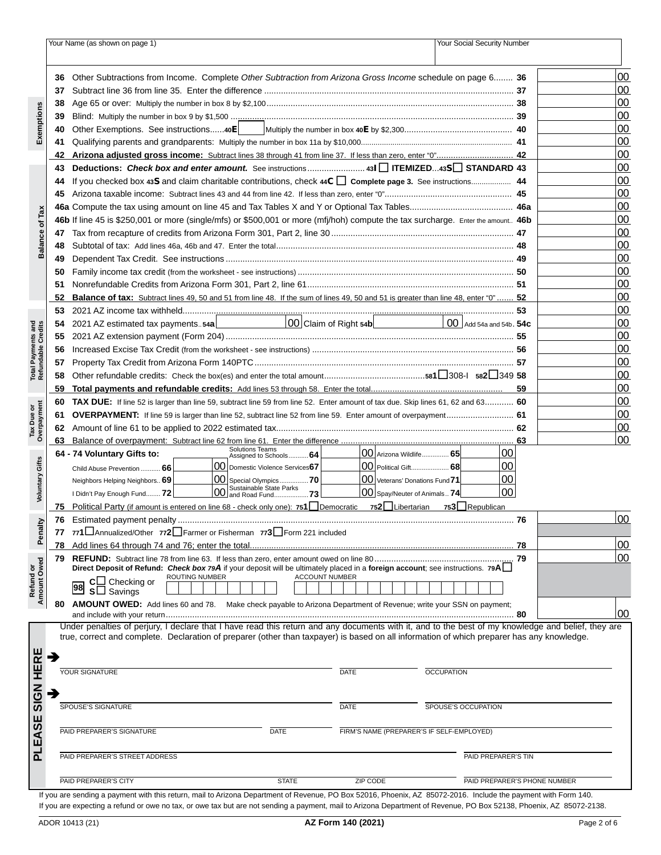|                                          |    | Your Name (as shown on page 1)                                                                                                                              | Your Social Security Number |                              |    |
|------------------------------------------|----|-------------------------------------------------------------------------------------------------------------------------------------------------------------|-----------------------------|------------------------------|----|
|                                          |    |                                                                                                                                                             |                             |                              |    |
|                                          | 36 | Other Subtractions from Income. Complete Other Subtraction from Arizona Gross Income schedule on page 6 36                                                  |                             |                              | 00 |
| Exemptions                               | 37 |                                                                                                                                                             |                             |                              | 00 |
|                                          | 38 |                                                                                                                                                             |                             |                              | 00 |
|                                          | 39 |                                                                                                                                                             |                             |                              | 00 |
|                                          | 40 | Other Exemptions. See instructions40E                                                                                                                       |                             |                              | 00 |
|                                          | 41 |                                                                                                                                                             |                             |                              | 00 |
|                                          | 42 | Arizona adjusted gross income: Subtract lines 38 through 41 from line 37. If less than zero, enter "0" 42                                                   |                             |                              | 00 |
|                                          | 43 | Deductions: Check box and enter amount. See instructions 431 TEMIZED43S STANDARD 43                                                                         |                             |                              | 00 |
|                                          | 44 | If you checked box 43S and claim charitable contributions, check 44C   Complete page 3. See instructions 44                                                 |                             |                              | 00 |
|                                          | 45 |                                                                                                                                                             |                             |                              | 00 |
|                                          |    |                                                                                                                                                             |                             |                              | 00 |
| Tax<br>৳                                 |    | 46b If line 45 is \$250,001 or more (single/mfs) or \$500,001 or more (mfj/hoh) compute the tax surcharge. Enter the amount 46b                             |                             |                              | 00 |
|                                          | 47 |                                                                                                                                                             |                             |                              | 00 |
| <b>Balance</b>                           | 48 |                                                                                                                                                             |                             |                              | 00 |
|                                          | 49 |                                                                                                                                                             |                             |                              | 00 |
|                                          | 50 |                                                                                                                                                             |                             |                              | 00 |
|                                          | 51 |                                                                                                                                                             |                             |                              | 00 |
|                                          | 52 | <b>Balance of tax:</b> Subtract lines 49, 50 and 51 from line 48. If the sum of lines 49, 50 and 51 is greater than line 48, enter "0"  52                  |                             |                              | 00 |
|                                          | 53 |                                                                                                                                                             |                             |                              | 00 |
|                                          | 54 | 00 Claim of Right 54b<br><u>00</u> Claim of Right 54b<br>2021 AZ estimated tax payments54a                                                                  | $00$ Add 54a and 54b, $54c$ |                              | 00 |
|                                          | 55 |                                                                                                                                                             |                             |                              | 00 |
| Total Payments and<br>Refundable Credits | 56 |                                                                                                                                                             |                             |                              | 00 |
|                                          | 57 |                                                                                                                                                             |                             |                              | 00 |
|                                          | 58 |                                                                                                                                                             |                             |                              | 00 |
|                                          | 59 |                                                                                                                                                             |                             | 59                           | 00 |
|                                          | 60 | <b>TAX DUE:</b> If line 52 is larger than line 59, subtract line 59 from line 52. Enter amount of tax due. Skip lines 61, 62 and 63 60                      |                             |                              | 00 |
| Overpayment<br>Tax Due or                | 61 | <b>OVERPAYMENT:</b> If line 59 is larger than line 52, subtract line 52 from line 59. Enter amount of overpayment 61                                        |                             |                              | 00 |
|                                          | 62 |                                                                                                                                                             |                             |                              | 00 |
|                                          | 63 | <b>Solutions Teams</b>                                                                                                                                      |                             | 63                           | 00 |
|                                          |    | 00 Arizona Wildlife 65<br>64 - 74 Voluntary Gifts to:<br>Assigned to Schools 64                                                                             | 100                         |                              |    |
| Voluntary Gifts                          |    | 00 Domestic Violence Services67<br>00 Political Gift 68<br>Child Abuse Prevention  66                                                                       | 00                          |                              |    |
|                                          |    | $\boxed{00}$ Special Olympics  70<br>00 Veterans' Donations Fund 71<br>Neighbors Helping Neighbors 69<br>00 Sustainable State Parks<br>00 and Road Fund 73  | 100<br>100                  |                              |    |
|                                          |    | $ 00 $ Spay/Neuter of Animals $74 $<br>I Didn't Pay Enough Fund 72                                                                                          |                             |                              |    |
|                                          |    | 75 Political Party (if amount is entered on line 68 - check only one): 751 Democratic 752 Libertarian 753 Republican                                        |                             |                              | 00 |
|                                          |    | 77 771 Annualized/Other 772 Farmer or Fisherman 773 Form 221 included                                                                                       |                             | 76                           |    |
| <b>Penalty</b>                           |    |                                                                                                                                                             |                             |                              | 00 |
|                                          | 79 |                                                                                                                                                             |                             |                              | 00 |
|                                          |    | Direct Deposit of Refund: Check box 79A if your deposit will be ultimately placed in a foreign account; see instructions. 79A                               |                             |                              |    |
| Refund or<br>Amount Owed                 |    | <b>ROUTING NUMBER</b><br><b>ACCOUNT NUMBER</b><br>$c\Box$ Checking or                                                                                       |                             |                              |    |
|                                          |    | 98<br>$S\Box$ Savings                                                                                                                                       |                             |                              |    |
|                                          | 80 | AMOUNT OWED: Add lines 60 and 78. Make check payable to Arizona Department of Revenue; write your SSN on payment;                                           |                             |                              |    |
|                                          |    | Under penalties of perjury, I declare that I have read this return and any documents with it, and to the best of my knowledge and belief, they are          |                             | 80                           | 00 |
|                                          |    | true, correct and complete. Declaration of preparer (other than taxpayer) is based on all information of which preparer has any knowledge.                  |                             |                              |    |
|                                          |    |                                                                                                                                                             |                             |                              |    |
|                                          | →  |                                                                                                                                                             |                             |                              |    |
|                                          |    | <b>YOUR SIGNATURE</b><br><b>OCCUPATION</b><br><b>DATE</b>                                                                                                   |                             |                              |    |
|                                          | Э  |                                                                                                                                                             |                             |                              |    |
| <b>SIGN HERE</b>                         |    | <b>SPOUSE'S SIGNATURE</b><br><b>DATE</b><br>SPOUSE'S OCCUPATION                                                                                             |                             |                              |    |
|                                          |    |                                                                                                                                                             |                             |                              |    |
| PLEASE                                   |    | PAID PREPARER'S SIGNATURE<br>DATE<br>FIRM'S NAME (PREPARER'S IF SELF-EMPLOYED)                                                                              |                             |                              |    |
|                                          |    |                                                                                                                                                             |                             |                              |    |
|                                          |    | PAID PREPARER'S STREET ADDRESS                                                                                                                              | PAID PREPARER'S TIN         |                              |    |
|                                          |    |                                                                                                                                                             |                             |                              |    |
|                                          |    | PAID PREPARER'S CITY<br><b>STATE</b><br>ZIP CODE                                                                                                            |                             | PAID PREPARER'S PHONE NUMBER |    |
|                                          |    | If you are sending a payment with this return mail to Arizona Department of Revenue, PO Box 52016. Phoenix AZ 85072-2016. Include the payment with Form 140 |                             |                              |    |

If you are sending a payment with this return, mail to Arizona Department of Revenue, PO Box 52016, Phoenix, AZ 85072-2016. Include the payment with Form 140. If you are expecting a refund or owe no tax, or owe tax but are not sending a payment, mail to Arizona Department of Revenue, PO Box 52138, Phoenix, AZ 85072-2138.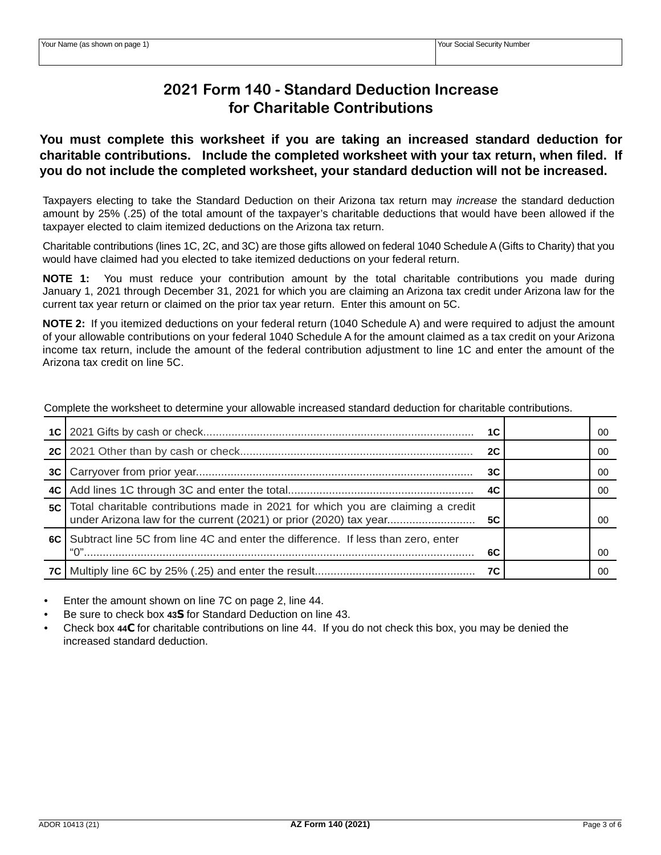# **2021 Form 140 - Standard Deduction Increase for Charitable Contributions**

# **You must complete this worksheet if you are taking an increased standard deduction for charitable contributions. Include the completed worksheet with your tax return, when filed. If you do not include the completed worksheet, your standard deduction will not be increased.**

Taxpayers electing to take the Standard Deduction on their Arizona tax return may *increase* the standard deduction amount by 25% (.25) of the total amount of the taxpayer's charitable deductions that would have been allowed if the taxpayer elected to claim itemized deductions on the Arizona tax return.

Charitable contributions (lines 1C, 2C, and 3C) are those gifts allowed on federal 1040 Schedule A (Gifts to Charity) that you would have claimed had you elected to take itemized deductions on your federal return.

**NOTE 1:** You must reduce your contribution amount by the total charitable contributions you made during January 1, 2021 through December 31, 2021 for which you are claiming an Arizona tax credit under Arizona law for the current tax year return or claimed on the prior tax year return. Enter this amount on 5C.

**NOTE 2:** If you itemized deductions on your federal return (1040 Schedule A) and were required to adjust the amount of your allowable contributions on your federal 1040 Schedule A for the amount claimed as a tax credit on your Arizona income tax return, include the amount of the federal contribution adjustment to line 1C and enter the amount of the Arizona tax credit on line 5C.

|    |                                                                                     | 1C | 00 |
|----|-------------------------------------------------------------------------------------|----|----|
|    |                                                                                     | 2C | 00 |
|    |                                                                                     | 3C | 00 |
|    |                                                                                     | 4C | 00 |
| 5C | Total charitable contributions made in 2021 for which you are claiming a credit     |    | 00 |
|    | 6C Subtract line 5C from line 4C and enter the difference. If less than zero, enter | 6C | 00 |
|    |                                                                                     | 7C | ΩO |

Complete the worksheet to determine your allowable increased standard deduction for charitable contributions.

• Enter the amount shown on line 7C on page 2, line 44.

• Be sure to check box **43S** for Standard Deduction on line 43.

• Check box **44C** for charitable contributions on line 44. If you do not check this box, you may be denied the increased standard deduction.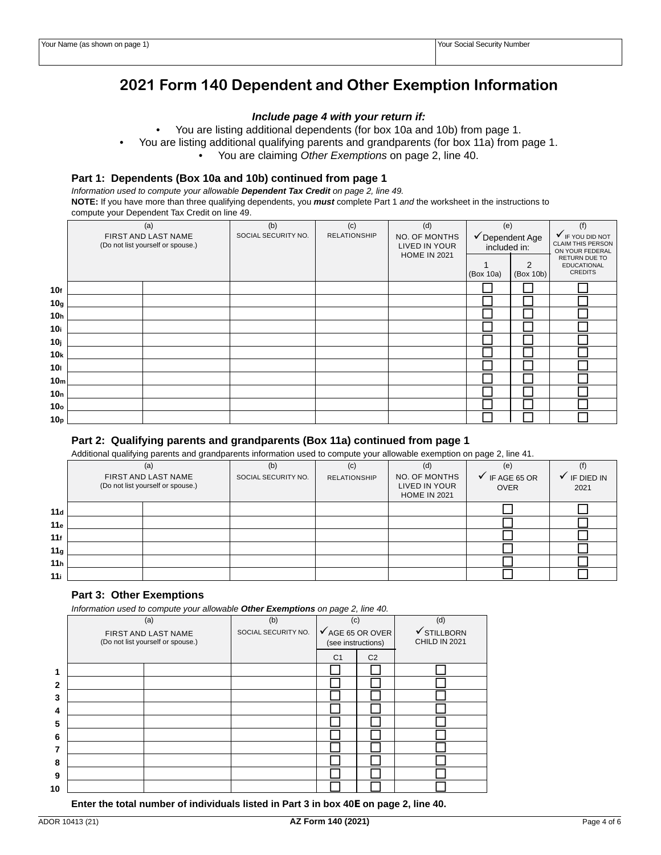# **2021 Form 140 Dependent and Other Exemption Information**

#### *Include page 4 with your return if:*

• You are listing additional dependents (for box 10a and 10b) from page 1.

• You are listing additional qualifying parents and grandparents (for box 11a) from page 1.

• You are claiming *Other Exemptions* on page 2, line 40.

### **Part 1: Dependents (Box 10a and 10b) continued from page 1**

*Information used to compute your allowable Dependent Tax Credit on page 2, line 49.* **NOTE:** If you have more than three qualifying dependents, you *must* complete Part 1 *and* the worksheet in the instructions to compute your Dependent Tax Credit on line 49.

|                 | (a)                                                      | (b)                                        | (c) | (d)                                                   | (e)                             |                | (f)                                                             |
|-----------------|----------------------------------------------------------|--------------------------------------------|-----|-------------------------------------------------------|---------------------------------|----------------|-----------------------------------------------------------------|
|                 | FIRST AND LAST NAME<br>(Do not list yourself or spouse.) | SOCIAL SECURITY NO.<br><b>RELATIONSHIP</b> |     | NO. OF MONTHS<br>LIVED IN YOUR<br><b>HOME IN 2021</b> | ✔ Dependent Age<br>included in: |                | V IF YOU DID NOT<br><b>CLAIM THIS PERSON</b><br>ON YOUR FEDERAL |
|                 |                                                          |                                            |     |                                                       | (Box 10a)                       | 2<br>(Box 10b) | RETURN DUE TO<br><b>EDUCATIONAL</b><br><b>CREDITS</b>           |
| 10f             |                                                          |                                            |     |                                                       |                                 |                |                                                                 |
| 10 <sub>g</sub> |                                                          |                                            |     |                                                       |                                 |                |                                                                 |
| 10 <sub>h</sub> |                                                          |                                            |     |                                                       |                                 |                |                                                                 |
| 10i             |                                                          |                                            |     |                                                       |                                 |                |                                                                 |
| 10 <sub>j</sub> |                                                          |                                            |     |                                                       |                                 |                |                                                                 |
| 10 <sub>k</sub> |                                                          |                                            |     |                                                       |                                 |                |                                                                 |
| 10 <sub>l</sub> |                                                          |                                            |     |                                                       |                                 |                |                                                                 |
| 10 <sub>m</sub> |                                                          |                                            |     |                                                       |                                 |                |                                                                 |
| 10 <sub>n</sub> |                                                          |                                            |     |                                                       |                                 |                |                                                                 |
| 10 <sub>o</sub> |                                                          |                                            |     |                                                       |                                 |                |                                                                 |
| 10 <sub>p</sub> |                                                          |                                            |     |                                                       |                                 |                |                                                                 |

### **Part 2: Qualifying parents and grandparents (Box 11a) continued from page 1**

Additional qualifying parents and grandparents information used to compute your allowable exemption on page 2, line 41.

|                 | (a)                                                      |  | (b)                 | (c)                 | (d)                                                   | (e)                                      |                    |
|-----------------|----------------------------------------------------------|--|---------------------|---------------------|-------------------------------------------------------|------------------------------------------|--------------------|
|                 | FIRST AND LAST NAME<br>(Do not list yourself or spouse.) |  | SOCIAL SECURITY NO. | <b>RELATIONSHIP</b> | NO. OF MONTHS<br>LIVED IN YOUR<br><b>HOME IN 2021</b> | $\checkmark$ IF AGE 65 OR<br><b>OVER</b> | IF DIED IN<br>2021 |
| 11d             |                                                          |  |                     |                     |                                                       |                                          |                    |
| 11e             |                                                          |  |                     |                     |                                                       |                                          |                    |
| 11f             |                                                          |  |                     |                     |                                                       |                                          |                    |
| 11 <sub>g</sub> |                                                          |  |                     |                     |                                                       |                                          |                    |
| 11 <sub>h</sub> |                                                          |  |                     |                     |                                                       |                                          |                    |
| 11i             |                                                          |  |                     |                     |                                                       |                                          |                    |

#### **Part 3: Other Exemptions**

*Information used to compute your allowable Other Exemptions on page 2, line 40.* 

|              | (a)                                                      | (b)                 | (c)                                               |                | (d)                          |
|--------------|----------------------------------------------------------|---------------------|---------------------------------------------------|----------------|------------------------------|
|              | FIRST AND LAST NAME<br>(Do not list yourself or spouse.) | SOCIAL SECURITY NO. | $\checkmark$ AGE 65 OR OVER<br>(see instructions) |                | ✔ STILLBORN<br>CHILD IN 2021 |
|              |                                                          |                     | C <sub>1</sub>                                    | C <sub>2</sub> |                              |
| 1            |                                                          |                     |                                                   |                |                              |
| $\mathbf{2}$ |                                                          |                     |                                                   |                |                              |
| 3            |                                                          |                     |                                                   |                |                              |
| 4            |                                                          |                     |                                                   |                |                              |
| 5            |                                                          |                     |                                                   |                |                              |
| 6            |                                                          |                     |                                                   |                |                              |
| 7            |                                                          |                     |                                                   |                |                              |
| 8            |                                                          |                     |                                                   |                |                              |
| 9            |                                                          |                     |                                                   |                |                              |
| 10           |                                                          |                     |                                                   |                |                              |

 **Enter the total number of individuals listed in Part 3 in box 40E on page 2, line 40.**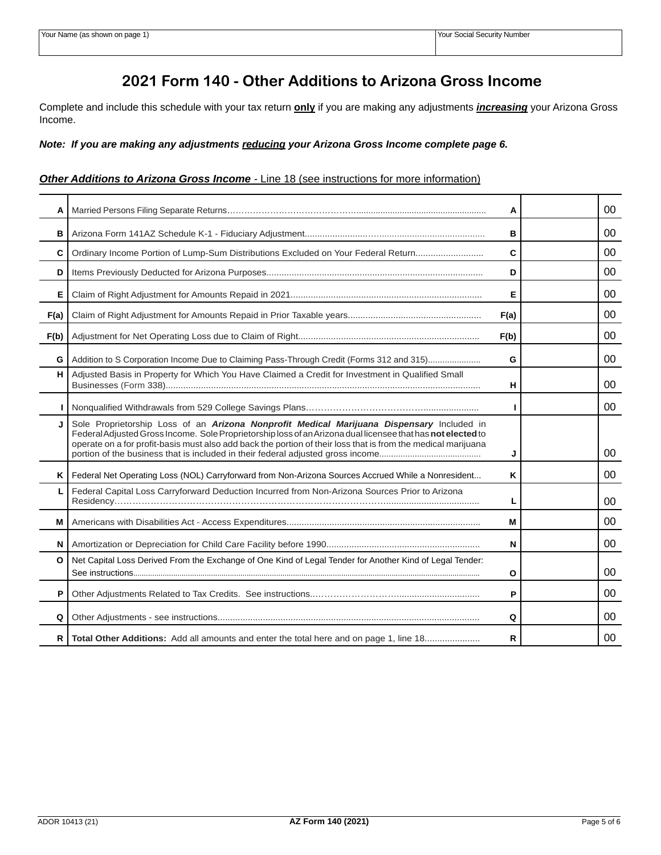# **2021 Form 140 - Other Additions to Arizona Gross Income**

Complete and include this schedule with your tax return **only** if you are making any adjustments *increasing* your Arizona Gross Income.

*Note: If you are making any adjustments reducing your Arizona Gross Income complete page 6.*

## **Other Additions to Arizona Gross Income** - Line 18 (see instructions for more information)

| A    |                                                                                                                                                                                                                                                                                                                           | A    | 00      |
|------|---------------------------------------------------------------------------------------------------------------------------------------------------------------------------------------------------------------------------------------------------------------------------------------------------------------------------|------|---------|
| B    |                                                                                                                                                                                                                                                                                                                           | в    | 00      |
| C    | Ordinary Income Portion of Lump-Sum Distributions Excluded on Your Federal Return                                                                                                                                                                                                                                         | C    | 00      |
| D    |                                                                                                                                                                                                                                                                                                                           | D    | 00      |
| Е    |                                                                                                                                                                                                                                                                                                                           | Е    | 00      |
| F(a) |                                                                                                                                                                                                                                                                                                                           | F(a) | 00      |
| F(b) |                                                                                                                                                                                                                                                                                                                           | F(b) | 00      |
| G    | Addition to S Corporation Income Due to Claiming Pass-Through Credit (Forms 312 and 315)                                                                                                                                                                                                                                  | G    | $00\,$  |
| н    | Adjusted Basis in Property for Which You Have Claimed a Credit for Investment in Qualified Small                                                                                                                                                                                                                          | н    | 00      |
|      |                                                                                                                                                                                                                                                                                                                           |      | 00      |
|      | Sole Proprietorship Loss of an Arizona Nonprofit Medical Marijuana Dispensary Included in<br>Federal Adjusted Gross Income. Sole Proprietorship loss of an Arizona dual licensee that has not elected to<br>operate on a for profit-basis must also add back the portion of their loss that is from the medical marijuana | J    | $00 \,$ |
| Κ    | Federal Net Operating Loss (NOL) Carryforward from Non-Arizona Sources Accrued While a Nonresident                                                                                                                                                                                                                        | Κ    | 00      |
|      | Federal Capital Loss Carryforward Deduction Incurred from Non-Arizona Sources Prior to Arizona                                                                                                                                                                                                                            | L    | 00      |
| M    |                                                                                                                                                                                                                                                                                                                           | M    | $00 \,$ |
| N    |                                                                                                                                                                                                                                                                                                                           | N    | $00 \,$ |
| O    | Net Capital Loss Derived From the Exchange of One Kind of Legal Tender for Another Kind of Legal Tender:                                                                                                                                                                                                                  | О    | 00      |
| P    |                                                                                                                                                                                                                                                                                                                           | P    | 00      |
| Q    |                                                                                                                                                                                                                                                                                                                           | Q    | 00      |
| R    | Total Other Additions: Add all amounts and enter the total here and on page 1, line 18                                                                                                                                                                                                                                    | R    | 00      |